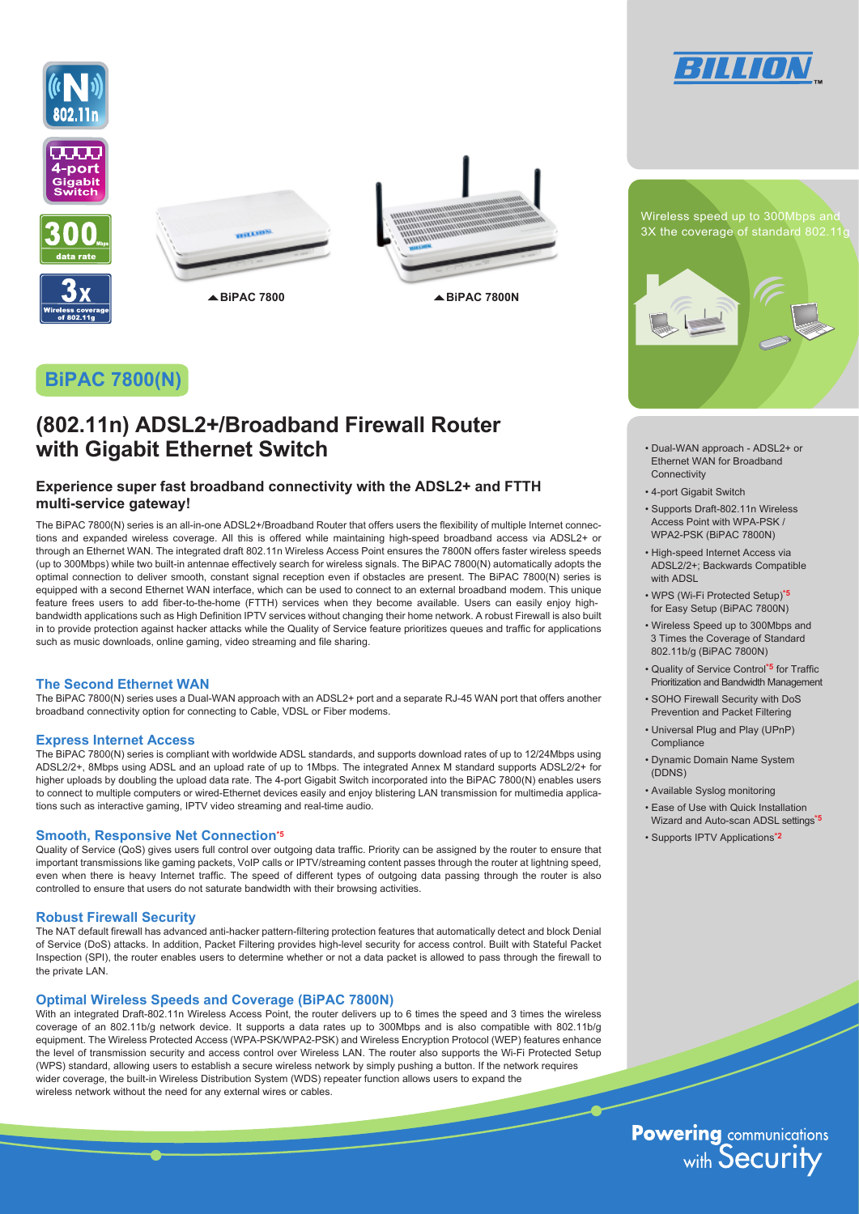









▲ BiPAC 7800 **ADD ADD ADD ADD ADD ADD ADD ADD ADD ADD ADD ADD ADD ADD ADD ADD ADD ADD ADD ADD ADD ADD ADD ADD ADD ADD ADD ADD ADD ADD ADD ADD ADD ADD ADD** 

# **BiPAC 7800(N)**

# **(802.11n) ADSL2+/Broadband Firewall Router with Gigabit Ethernet Switch**

### **Experience super fast broadband connectivity with the ADSL2+ and FTTH multi-service gateway!**

The BiPAC 7800(N) series is an all-in-one ADSL2+/Broadband Router that offers users the flexibility of multiple Internet connections and expanded wireless coverage. All this is offered while maintaining high-speed broadband access via ADSL2+ or through an Ethernet WAN. The integrated draft 802.11n Wireless Access Point ensures the 7800N offers faster wireless speeds (up to 300Mbps) while two built-in antennae effectively search for wireless signals. The BiPAC 7800(N) automatically adopts the optimal connection to deliver smooth, constant signal reception even if obstacles are present. The BiPAC 7800(N) series is equipped with a second Ethernet WAN interface, which can be used to connect to an external broadband modem. This unique feature frees users to add fiber-to-the-home (FTTH) services when they become available. Users can easily enjoy highbandwidth applications such as High Definition IPTV services without changing their home network. A robust Firewall is also built in to provide protection against hacker attacks while the Quality of Service feature prioritizes queues and traffic for applications such as music downloads, online gaming, video streaming and file sharing.

### **The Second Ethernet WAN**

The BiPAC 7800(N) series uses a Dual-WAN approach with an ADSL2+ port and a separate RJ-45 WAN port that offers another broadband connectivity option for connecting to Cable, VDSL or Fiber modems.

#### **Express Internet Access**

The BiPAC 7800(N) series is compliant with worldwide ADSL standards, and supports download rates of up to 12/24Mbps using ADSL2/2+, 8Mbps using ADSL and an upload rate of up to 1Mbps. The integrated Annex M standard supports ADSL2/2+ for higher uploads by doubling the upload data rate. The 4-port Gigabit Switch incorporated into the BiPAC 7800(N) enables users to connect to multiple computers or wired-Ethernet devices easily and enjoy blistering LAN transmission for multimedia applications such as interactive gaming, IPTV video streaming and real-time audio.

#### **Smooth, Responsive Net Connection\*5**

Quality of Service (QoS) gives users full control over outgoing data traffic. Priority can be assigned by the router to ensure that important transmissions like gaming packets. VoIP calls or IPTV/streaming content passes through the router at lightning speed, even when there is heavy Internet traffic. The speed of different types of outgoing data passing through the router is also controlled to ensure that users do not saturate bandwidth with their browsing activities.

#### **Robust Firewall Security**

The NAT default firewall has advanced anti-hacker pattern-filtering protection features that automatically detect and block Denial of Service (DoS) attacks. In addition, Packet Filtering provides high-level security for access control. Built with Stateful Packet Inspection (SPI), the router enables users to determine whether or not a data packet is allowed to pass through the firewall to the private LAN.

### **Optimal Wireless Speeds and Coverage (BiPAC 7800N)**

With an integrated Draft-802.11n Wireless Access Point, the router delivers up to 6 times the speed and 3 times the wireless coverage of an 802.11b/g network device. It supports a data rates up to 300Mbps and is also compatible with 802.11b/g equipment. The Wireless Protected Access (WPA-PSK/WPA2-PSK) and Wireless Encryption Protocol (WEP) features enhance the level of transmission security and access control over Wireless LAN. The router also supports the Wi-Fi Protected Setup (WPS) standard, allowing users to establish a secure wireless network by simply pushing a button. If the network requires wider coverage, the built-in Wireless Distribution System (WDS) repeater function allows users to expand the wireless network without the need for any external wires or cables.



- Dual-WAN approach ADSL2+ or Ethernet WAN for Broadband Connectivity
- 4-port Gigabit Switch
- Supports Draft-802.11n Wireless Access Point with WPA-PSK / WPA2-PSK (BiPAC 7800N)
- High-speed Internet Access via ADSL2/2+; Backwards Compatible with ADSL
- WPS (Wi-Fi Protected Setup)**\*5** for Easy Setup (BiPAC 7800N)
- 3 Times the Coverage of Standard • Wireless Speed up to 300Mbps and 802.11b/g (BiPAC 7800N)
- Quality of Service Control**\*5** for Traffic Prioritization and Bandwidth Management
- SOHO Firewall Security with DoS Prevention and Packet Filtering
- Universal Plug and Play (UPnP) Compliance
- Dynamic Domain Name System (DDNS)
- Available Syslog monitoring
- Ease of Use with Quick Installation Wizard and Auto-scan ADSL settings**\*5**
- Supports IPTV Applications**\*2**

**Powering communications**<br>with **Security**